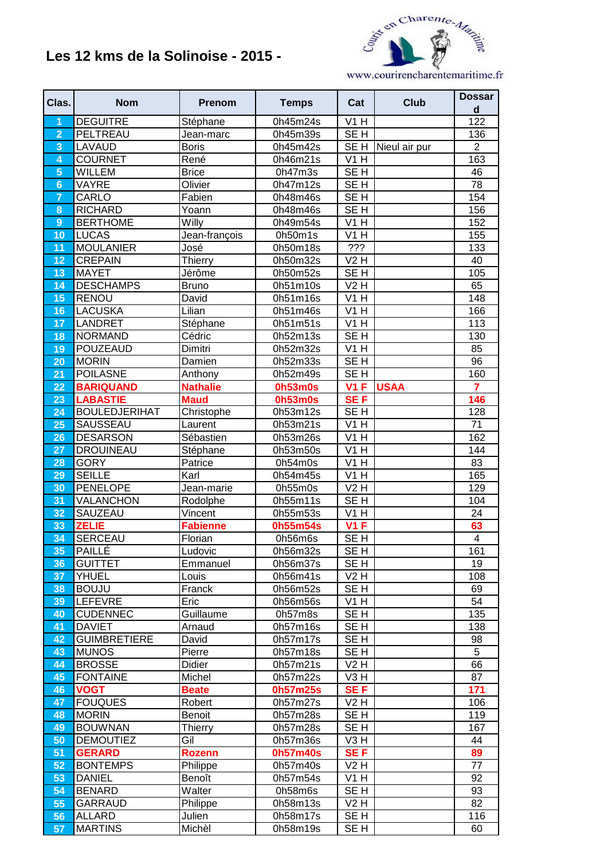## **Les 12 kms de la Solinoise - 2015 -**



www.courirencharentemaritime.fr

| Clas.           | <b>Nom</b>                          | <b>Prenom</b>          | <b>Temps</b>          | Cat                                 | <b>Club</b>   | <b>Dossar</b><br>$\operatorname{\mathsf{d}}$ |
|-----------------|-------------------------------------|------------------------|-----------------------|-------------------------------------|---------------|----------------------------------------------|
| 1               | <b>DEGUITRE</b>                     | Stéphane               | 0h45m24s              | V1H                                 |               | 122                                          |
| $\overline{2}$  | PELTREAU                            | Jean-marc              | 0h45m39s              | SE <sub>H</sub>                     |               | 136                                          |
| 3               | LAVAUD                              | <b>Boris</b>           | 0h45m42s              | SE <sub>H</sub>                     | Nieul air pur | $\overline{2}$                               |
| 4               | <b>COURNET</b>                      | René                   | 0h46m21s              | V1H                                 |               | 163                                          |
| $\overline{5}$  | <b>WILLEM</b>                       | <b>Brice</b>           | 0h47m3s               | $\overline{\overline{\text{SE H}}}$ |               | 46                                           |
| $6\phantom{1}6$ | VAYRE                               | Olivier                | 0h47m12s              | SE <sub>H</sub>                     |               | 78                                           |
| $\overline{7}$  | CARLO                               | Fabien                 | 0h48m46s              | SE <sub>H</sub>                     |               | 154                                          |
| 8               | <b>RICHARD</b>                      | Yoann                  | 0h48m46s              | SE <sub>H</sub>                     |               | 156                                          |
| 9               | <b>BERTHOME</b>                     | Willy                  | 0h49m54s              | $\overline{V}$ 1 H                  |               | 152                                          |
| 10              | <b>LUCAS</b>                        | Jean-françois          | 0h50m1s               | VIH                                 |               | 155                                          |
| 11              | <b>MOULANIER</b>                    | José                   | 0h50m18s              | $\overline{??'}$                    |               | 133                                          |
| 12              | <b>CREPAIN</b>                      | Thierry                | 0h50m32s              | <b>V2 H</b>                         |               | 40                                           |
| 13              | <b>MAYET</b>                        | Jérôme                 | 0h50m52s              | SE <sub>H</sub>                     |               | 105                                          |
| 14              | <b>DESCHAMPS</b>                    | <b>Bruno</b>           | 0h51m10s              | V2H                                 |               | 65                                           |
| 15              | <b>RENOU</b>                        | David                  | 0h51m16s              | V1H                                 |               | 148                                          |
| 16              | <b>LACUSKA</b>                      | Lilian                 | 0h51m46s              | V1H                                 |               | 166                                          |
| 17              | <b>LANDRET</b>                      | Stéphane               | 0h51m51s              | V1H                                 |               | 113                                          |
| 18              | <b>NORMAND</b>                      | Cédric                 | 0h52m13s              | SE <sub>H</sub>                     |               | 130                                          |
| 19              | <b>POUZEAUD</b>                     | Dimitri                | $\overline{0h52}m32s$ | $\overline{V1H}$                    |               | 85                                           |
| 20              | <b>MORIN</b>                        | Damien                 | 0h52m33s              | SE <sub>H</sub>                     |               | 96                                           |
| 21              | <b>POILASNE</b>                     | Anthony                | 0h52m49s              | SE <sub>H</sub>                     |               | 160                                          |
| 22              | <b>BARIQUAND</b>                    | <b>Nathalie</b>        | <b>0h53m0s</b>        | $\overline{V}$ 1 F                  | <b>USAA</b>   | $\overline{7}$                               |
| 23              | <b>LABASTIE</b>                     | <b>Maud</b>            | <b>0h53m0s</b>        | <b>SEF</b>                          |               | 146                                          |
| 24              | <b>BOULEDJERIHAT</b>                | Christophe             | 0h53m12s              | SE <sub>H</sub>                     |               | 128                                          |
| 25              | SAUSSEAU                            | Laurent                | 0h53m21s              | V1H                                 |               | 71                                           |
| 26              | <b>DESARSON</b>                     | Sébastien              | 0h53m26s              | V1H                                 |               | 162                                          |
| 27              | <b>DROUINEAU</b>                    | Stéphane               | 0h53m50s              | $\overline{VI}$ H                   |               | 144                                          |
| 28              | <b>GORY</b>                         | Patrice                | 0h54m0s               | V1H                                 |               | 83                                           |
| 29              | <b>SEILLE</b>                       | Karl                   | 0h54m45s              | V1H                                 |               | 165                                          |
| 30              | <b>PENELOPE</b>                     | Jean-marie             | 0h55m0s               | <b>V2 H</b>                         |               | 129                                          |
| 31              | VALANCHON                           | Rodolphe               | 0h55m11s              | SE <sub>H</sub>                     |               | 104                                          |
| 32              | SAUZEAU                             | Vincent                | 0h55m53s              | V1H                                 |               | 24                                           |
| 33              | <b>ZELIE</b>                        | <b>Fabienne</b>        | 0h55m54s              | <b>V1 F</b>                         |               | 63                                           |
| 34              | <b>SERCEAU</b>                      | Florian                | 0h56m6s               | SE <sub>H</sub>                     |               | $\overline{\mathbf{4}}$                      |
| 35              | <b>PAILLÉ</b>                       | Ludovic                | 0h56m32s              | SE <sub>H</sub>                     |               | 161                                          |
| 36              | <b>GUITTET</b>                      | Emmanuel               | 0h56m37s              | SE H                                |               | 19                                           |
| 37              | <b>YHUEL</b>                        | Louis                  | 0h56m41s              | V2H                                 |               | 108                                          |
| 38              | <b>BOUJU</b>                        | Franck                 | 0h56m52s              | SE <sub>H</sub>                     |               | 69                                           |
| 39              | <b>LEFEVRE</b>                      | Eric                   | 0h56m56s              | V1H<br>SEH                          |               | 54                                           |
| 40              | <b>CUDENNEC</b><br><b>DAVIET</b>    | Guillaume              | 0h57m8s               |                                     |               | 135                                          |
| 41              |                                     | Arnaud<br>David        | 0h57m16s              | SE <sub>H</sub>                     |               | 138                                          |
| 42              | <b>GUIMBRETIERE</b><br><b>MUNOS</b> | Pierre                 | 0h57m17s<br>0h57m18s  | SE <sub>H</sub><br>SE <sub>H</sub>  |               | 98<br>$\overline{5}$                         |
| 43<br>44        | <b>BROSSE</b>                       | Didier                 | 0h57m21s              | V2H                                 |               | 66                                           |
| 45              | <b>FONTAINE</b>                     | Michel                 | 0h57m22s              | V3H                                 |               | 87                                           |
|                 | <b>VOGT</b>                         |                        |                       | SE <sub>F</sub>                     |               | 171                                          |
| 46<br>47        | <b>FOUQUES</b>                      | <b>Beate</b><br>Robert | 0h57m25s<br>0h57m27s  | V2H                                 |               | 106                                          |
| 48              | <b>MORIN</b>                        | <b>Benoit</b>          | 0h57m28s              | SE H                                |               | 119                                          |
| 49              | <b>BOUWNAN</b>                      | <b>Thierry</b>         | 0h57m28s              | SE H                                |               | 167                                          |
| 50              | <b>DEMOUTIEZ</b>                    | Gil                    | 0h57m36s              | V3H                                 |               | 44                                           |
| 51              | <b>GERARD</b>                       | <b>Rozenn</b>          | 0h57m40s              | <b>SEF</b>                          |               | 89                                           |
| 52              | <b>BONTEMPS</b>                     | Philippe               | 0h57m40s              | V2H                                 |               | 77                                           |
| 53              | <b>DANIEL</b>                       | Benoît                 | 0h57m54s              | V1H                                 |               | 92                                           |
| 54              | <b>BENARD</b>                       | Walter                 | 0h58m6s               | SE H                                |               | 93                                           |
| 55              | <b>GARRAUD</b>                      | Philippe               | 0h58m13s              | $\overline{V2}$ H                   |               | 82                                           |
| 56              | <b>ALLARD</b>                       | Julien                 | 0h58m17s              | SE <sub>H</sub>                     |               | 116                                          |
| 57              | <b>MARTINS</b>                      | Michèl                 | 0h58m19s              | SE <sub>H</sub>                     |               | 60                                           |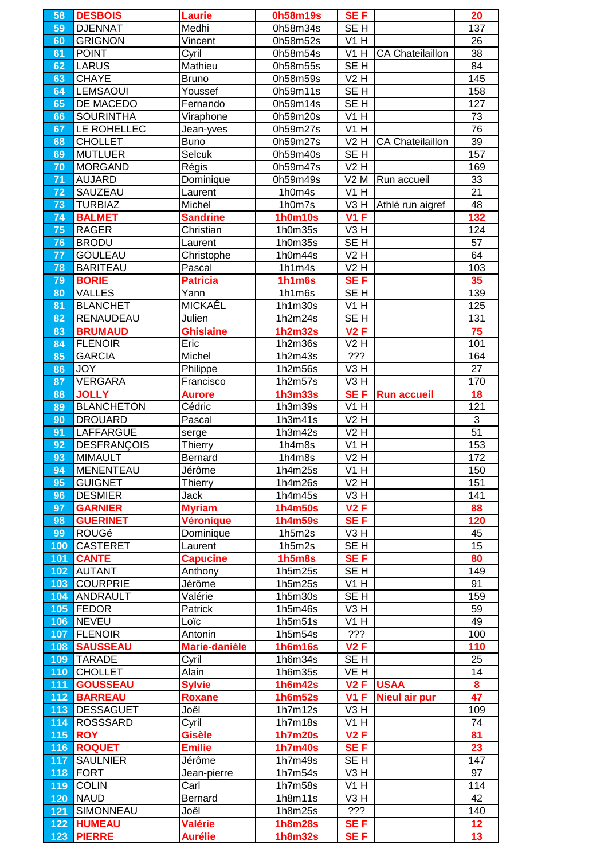| 58              | <b>DESBOIS</b>     | <b>Laurie</b>    | 0h58m19s       | SE F               |                         | 20              |
|-----------------|--------------------|------------------|----------------|--------------------|-------------------------|-----------------|
| 59              | <b>DJENNAT</b>     | Medhi            | 0h58m34s       | SE <sub>H</sub>    |                         | 137             |
| 60              | <b>GRIGNON</b>     | Vincent          | 0h58m52s       | V1H                |                         | 26              |
| 61              | <b>POINT</b>       | Cyril            | 0h58m54s       | VIH                | <b>CA Chateilaillon</b> | 38              |
| 62              | <b>LARUS</b>       | Mathieu          | 0h58m55s       | SE <sub>H</sub>    |                         | 84              |
| 63              | <b>CHAYE</b>       | <b>Bruno</b>     | 0h58m59s       | V2H                |                         | 145             |
|                 |                    |                  |                |                    |                         |                 |
| 64              | <b>LEMSAOUI</b>    | Youssef          | 0h59m11s       | SE <sub>H</sub>    |                         | 158             |
| 65              | DE MACEDO          | Fernando         | 0h59m14s       | SE <sub>H</sub>    |                         | 127             |
| 66              | <b>SOURINTHA</b>   | Viraphone        | 0h59m20s       | V1H                |                         | 73              |
| 67              | LE ROHELLEC        | Jean-yves        | 0h59m27s       | V1H                |                         | 76              |
| 68              | <b>CHOLLET</b>     | Buno             | 0h59m27s       | <b>V2 H</b>        | <b>CA Chateilaillon</b> | 39              |
| 69              | <b>MUTLUER</b>     | Selcuk           | 0h59m40s       | SE <sub>H</sub>    |                         | 157             |
| 70              | <b>MORGAND</b>     | Régis            | 0h59m47s       | V2H                |                         | 169             |
|                 |                    |                  |                |                    |                         |                 |
| 71              | <b>AUJARD</b>      | Dominique        | 0h59m49s       | V2M                | Run accueil             | 33              |
| 72              | SAUZEAU            | Laurent          | 1h0m4s         | V1H                |                         | 21              |
| 73              | <b>TURBIAZ</b>     | Michel           | 1h0m7s         | $\overline{V}$ 3 H | Athlé run aigref        | 48              |
| $\overline{74}$ | <b>BALMET</b>      | <b>Sandrine</b>  | <b>1h0m10s</b> | V1F                |                         | 132             |
| 75              | <b>RAGER</b>       | Christian        | 1h0m35s        | $\overline{V}3$ H  |                         | 124             |
| 76              | <b>BRODU</b>       | Laurent          | 1h0m35s        | SE <sub>H</sub>    |                         | 57              |
| 77              | <b>GOULEAU</b>     | Christophe       | 1h0m44s        | V2H                |                         | 64              |
|                 |                    |                  |                |                    |                         |                 |
| 78              | <b>BARITEAU</b>    | Pascal           | 1h1m4s         | V2H                |                         | 103             |
| 79              | <b>BORIE</b>       | <b>Patricia</b>  | 1h1m6s         | <b>SEF</b>         |                         | 35              |
| 80              | <b>VALLES</b>      | Yann             | 1h1m6s         | SE <sub>H</sub>    |                         | 139             |
| 81              | <b>BLANCHET</b>    | MICKAEL          | 1h1m30s        | V1H                |                         | 125             |
| 82              | RENAUDEAU          | Julien           | 1h2m24s        | SE <sub>H</sub>    |                         | 131             |
| 83              | <b>BRUMAUD</b>     | <b>Ghislaine</b> | <b>1h2m32s</b> | <b>V2F</b>         |                         | 75              |
| 84              | <b>FLENOIR</b>     | Eric             | 1h2m36s        | <b>V2 H</b>        |                         | 101             |
| 85              | <b>GARCIA</b>      |                  |                | ???                |                         | 164             |
|                 |                    | Michel           | 1h2m43s        |                    |                         |                 |
| 86              | <b>JOY</b>         | Philippe         | 1h2m56s        | V <sub>3</sub> H   |                         | 27              |
| 87              | <b>VERGARA</b>     | Francisco        | 1h2m57s        | V <sub>3</sub> H   |                         | 170             |
| 88              | <b>JOLLY</b>       | <b>Aurore</b>    | <b>1h3m33s</b> | SE <sub>F</sub>    | <b>Run accueil</b>      | 18              |
| 89              | <b>BLANCHETON</b>  | Cédric           | 1h3m39s        | V1H                |                         | 121             |
| 90              | <b>DROUARD</b>     | Pascal           | 1h3m41s        | V2H                |                         | 3               |
| 91              | <b>LAFFARGUE</b>   | serge            | 1h3m42s        | <b>V2 H</b>        |                         | 51              |
| 92              | <b>DESFRANÇOIS</b> | <b>Thierry</b>   | 1h4m8s         | V1H                |                         | 153             |
|                 |                    |                  |                | $\overline{V2H}$   |                         |                 |
| 93              | <b>MIMAULT</b>     | Bernard          | 1h4m8s         |                    |                         | 172             |
| 94              | <b>MENENTEAU</b>   | Jérôme           | 1h4m25s        | VIH                |                         | 150             |
| 95              | <b>GUIGNET</b>     | Thierry          | 1h4m26s        | V2H                |                         | 151             |
| 96              | <b>DESMIER</b>     | Jack             | 1h4m45s        | V3H                |                         | 141             |
| 97              | <b>GARNIER</b>     | <b>Myriam</b>    | <b>1h4m50s</b> | V2F                |                         | 88              |
| 98              | <b>GUERINET</b>    | <b>Véronique</b> | <b>1h4m59s</b> | SE <sub>F</sub>    |                         | 120             |
| 99              | ROUGé              | Dominique        | 1h5m2s         | V <sub>3</sub> H   |                         | 45              |
| 100             | <b>CASTERET</b>    | Laurent          | 1h5m2s         | SE <sub>H</sub>    |                         | 15              |
|                 |                    |                  |                |                    |                         |                 |
| 101             | <b>CANTE</b>       | <b>Capucine</b>  | <b>1h5m8s</b>  | SE <sub>F</sub>    |                         | 80              |
| 102             | <b>AUTANT</b>      | Anthony          | 1h5m25s        | SE <sub>H</sub>    |                         | 149             |
| 103             | <b>COURPRIE</b>    | Jérôme           | 1h5m25s        | V1H                |                         | 91              |
| 104             | <b>ANDRAULT</b>    | Valérie          | 1h5m30s        | SE <sub>H</sub>    |                         | 159             |
| 105             | <b>FEDOR</b>       | Patrick          | 1h5m46s        | V <sub>3</sub> H   |                         | 59              |
| 106             | <b>NEVEU</b>       | Loïc             | 1h5m51s        | V1H                |                         | 49              |
| 107             | <b>FLENOIR</b>     | Antonin          | 1h5m54s        | ???                |                         | 100             |
| 108             | <b>SAUSSEAU</b>    | Marie-danièle    | <b>1h6m16s</b> | V2F                |                         | 110             |
| 109             | <b>TARADE</b>      | Cyril            | 1h6m34s        | SE <sub>H</sub>    |                         | 25              |
|                 |                    |                  |                |                    |                         |                 |
| 110             | <b>CHOLLET</b>     | Alain            | 1h6m35s        | VE H               |                         | 14              |
| 111             | <b>GOUSSEAU</b>    | <b>Sylvie</b>    | <b>1h6m42s</b> | V2F                | <b>USAA</b>             | 8               |
| 112             | <b>BARREAU</b>     | <b>Roxane</b>    | <b>1h6m52s</b> | V1F                | <b>Nieul air pur</b>    | $\overline{47}$ |
| 113             | <b>DESSAGUET</b>   | Joël             | 1h7m12s        | V <sub>3</sub> H   |                         | 109             |
| 114             | <b>ROSSSARD</b>    | Cyril            | 1h7m18s        | V1H                |                         | 74              |
| 115             | <b>ROY</b>         | <b>Gisèle</b>    | <b>1h7m20s</b> | V2F                |                         | 81              |
| 116             | <b>ROQUET</b>      | <b>Emilie</b>    | <b>1h7m40s</b> | <b>SEF</b>         |                         | 23              |
|                 | <b>SAULNIER</b>    | Jérôme           | 1h7m49s        | SE <sub>H</sub>    |                         | 147             |
| 117             |                    |                  |                |                    |                         |                 |
| 118             | <b>FORT</b>        | Jean-pierre      | 1h7m54s        | V <sub>3</sub> H   |                         | 97              |
| 119             | <b>COLIN</b>       | Carl             | 1h7m58s        | V1H                |                         | 114             |
| 120             | <b>NAUD</b>        | Bernard          | 1h8m11s        | V3H                |                         | 42              |
| 121             | SIMONNEAU          | Joël             | 1h8m25s        | ???                |                         | 140             |
| 122             | <b>HUMEAU</b>      | <b>Valérie</b>   | <b>1h8m28s</b> | SE <sub>F</sub>    |                         | 12              |
| 123             | <b>PIERRE</b>      | <b>Aurélie</b>   | <b>1h8m32s</b> | <b>SEF</b>         |                         | 13              |
|                 |                    |                  |                |                    |                         |                 |